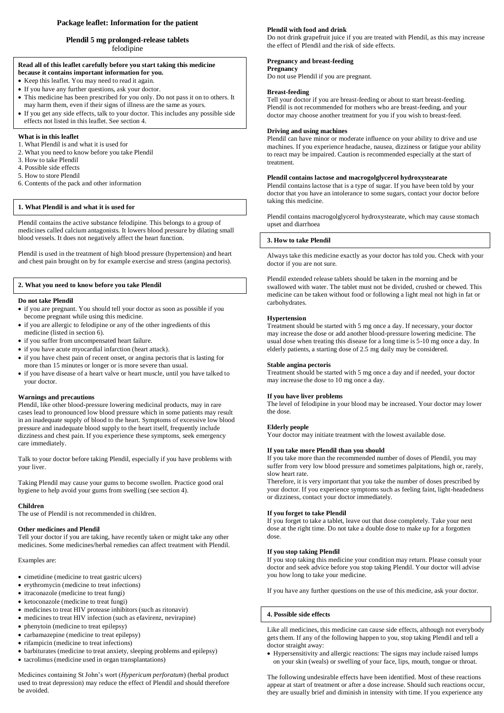# **Package leaflet: Information for the patient**

# **Plendil 5 mg prolonged**-**release tablets**

felodipine

# **Read all of this leaflet carefully before you start taking this medicine**

- **because it contains important information for you.**
- Keep this leaflet. You may need to read it again.
- If you have any further questions, ask your doctor.
- This medicine has been prescribed for you only. Do not pass it on to others. It may harm them, even if their signs of illness are the same as yours.
- If you get any side effects, talk to your doctor. This includes any possible side effects not listed in this leaflet. See section 4.

### **What is in this leaflet**

- 1. What Plendil is and what it is used for
- 2. What you need to know before you take Plendil
- 3. How to take Plendil
- 4. Possible side effects
- 5. How to store Plendil
- 6. Contents of the pack and other information

# **1. What Plendil is and what it is used for**

Plendil contains the active substance felodipine. This belongs to a group of medicines called calcium antagonists. It lowers blood pressure by dilating small blood vessels. It does not negatively affect the heart function.

Plendil is used in the treatment of high blood pressure (hypertension) and heart and chest pain brought on by for example exercise and stress (angina pectoris).

### **2. What you need to know before you take Plendil**

#### **Do not take Plendil**

- if you are pregnant. You should tell your doctor as soon as possible if you become pregnant while using this medicine.
- if you are allergic to felodipine or any of the other ingredients of this medicine (listed in section 6).
- if you suffer from uncompensated heart failure.
- if you have acute myocardial infarction (heart attack).
- if you have chest pain of recent onset, or angina pectoris that is lasting for more than 15 minutes or longer or is more severe than usual.
- if you have disease of a heart valve or heart muscle, until you have talked to your doctor.

#### **Warnings and precautions**

Plendil, like other blood-pressure lowering medicinal products, may in rare cases lead to pronounced low blood pressure which in some patients may result in an inadequate supply of blood to the heart. Symptoms of excessive low blood pressure and inadequate blood supply to the heart itself, frequently include dizziness and chest pain. If you experience these symptoms, seek emergency care immediately.

Talk to your doctor before taking Plendil, especially if you have problems with your liver.

Taking Plendil may cause your gums to become swollen. Practice good oral hygiene to help avoid your gums from swelling (see section 4).

#### **Children**

The use of Plendil is not recommended in children.

#### **Other medicines and Plendil**

Tell your doctor if you are taking, have recently taken or might take any other medicines. Some medicines/herbal remedies can affect treatment with Plendil.

Examples are:

- cimetidine (medicine to treat gastric ulcers)
- erythromycin (medicine to treat infections)
- itraconazole (medicine to treat fungi)
- ketoconazole (medicine to treat fungi)
- medicines to treat HIV protease inhibitors(such as ritonavir)
- medicines to treat HIV infection (such as efavirenz, nevirapine)
- phenytoin (medicine to treat epilepsy)
- carbamazepine (medicine to treat epilepsy)
- rifampicin (medicine to treat infections)
- barbiturates (medicine to treat anxiety, sleeping problems and epilepsy)
- tacrolimus(medicine used in organ transplantations)

### Medicines containing St John's wort (*Hypericum perforatum*) (herbal product used to treat depression) may reduce the effect of Plendil and should therefore be avoided.

#### **Plendil with food and drink**

Do not drink grapefruit juice if you are treated with Plendil, as this may increase the effect of Plendil and the risk of side effects.

#### **Pregnancy and breast-feeding**

**Pregnancy**

Do not use Plendil if you are pregnant.

# **Breast-feeding**

Tell your doctor if you are breast-feeding or about to start breast-feeding. Plendil is not recommended for mothers who are breast-feeding, and your doctor may choose another treatment for you if you wish to breast-feed.

#### **Driving and using machines**

Plendil can have minor or moderate influence on your ability to drive and use machines. If you experience headache, nausea, dizziness or fatigue your ability to react may be impaired. Caution is recommended especially at the start of treatment.

#### **Plendil contains lactose and macrogolglycerol hydroxystearate**

Plendil contains lactose that is a type of sugar. If you have been told by your doctor that you have an intolerance to some sugars, contact your doctor before taking this medicine.

Plendil contains macrogolglycerol hydroxystearate, which may cause stomach upset and diarrhoea

#### **3. How to take Plendil**

Always take this medicine exactly as your doctor has told you. Check with your doctor if you are not sure.

Plendil extended release tablets should be taken in the morning and be swallowed with water. The tablet must not be divided, crushed or chewed. This medicine can be taken without food or following a light meal not high in fat or carbohydrates.

#### **Hypertension**

Treatment should be started with 5 mg once a day. If necessary, your doctor may increase the dose or add another blood-pressure lowering medicine. The usual dose when treating this disease for a long time is 5-10 mg once a day. In elderly patients, a starting dose of 2.5 mg daily may be considered.

#### **Stable angina pectoris**

Treatment should be started with 5 mg once a day and if needed, your doctor may increase the dose to 10 mg once a day.

#### **If you have liver problems**

The level of felodipine in your blood may be increased. Your doctor may lower the dose.

#### **Elderly people**

Your doctor may initiate treatment with the lowest available dose.

### **If you take more Plendil than you should**

If you take more than the recommended number of doses of Plendil, you may suffer from very low blood pressure and sometimes palpitations, high or, rarely, slow heart rate.

Therefore, it is very important that you take the number of doses prescribed by your doctor. If you experience symptoms such as feeling faint, light-headedness or dizziness, contact your doctor immediately.

### **If you forget to take Plendil**

If you forget to take a tablet, leave out that dose completely. Take your next dose at the right time. Do not take a double dose to make up for a forgotten dose.

#### **If you stop taking Plendil**

If you stop taking this medicine your condition may return. Please consult your doctor and seek advice before you stop taking Plendil. Your doctor will advise you how long to take your medicine.

If you have any further questions on the use of this medicine, ask your doctor.

#### **4. Possible side effects**

Like all medicines, this medicine can cause side effects, although not everybody gets them. If any of the following happen to you, stop taking Plendil and tell a doctor straight away:

 Hypersensitivity and allergic reactions: The signs may include raised lumps on your skin (weals) or swelling of your face, lips, mouth, tongue or throat.

The following undesirable effects have been identified. Most of these reactions appear at start of treatment or after a dose increase. Should such reactions occur, they are usually brief and diminish in intensity with time. If you experience any